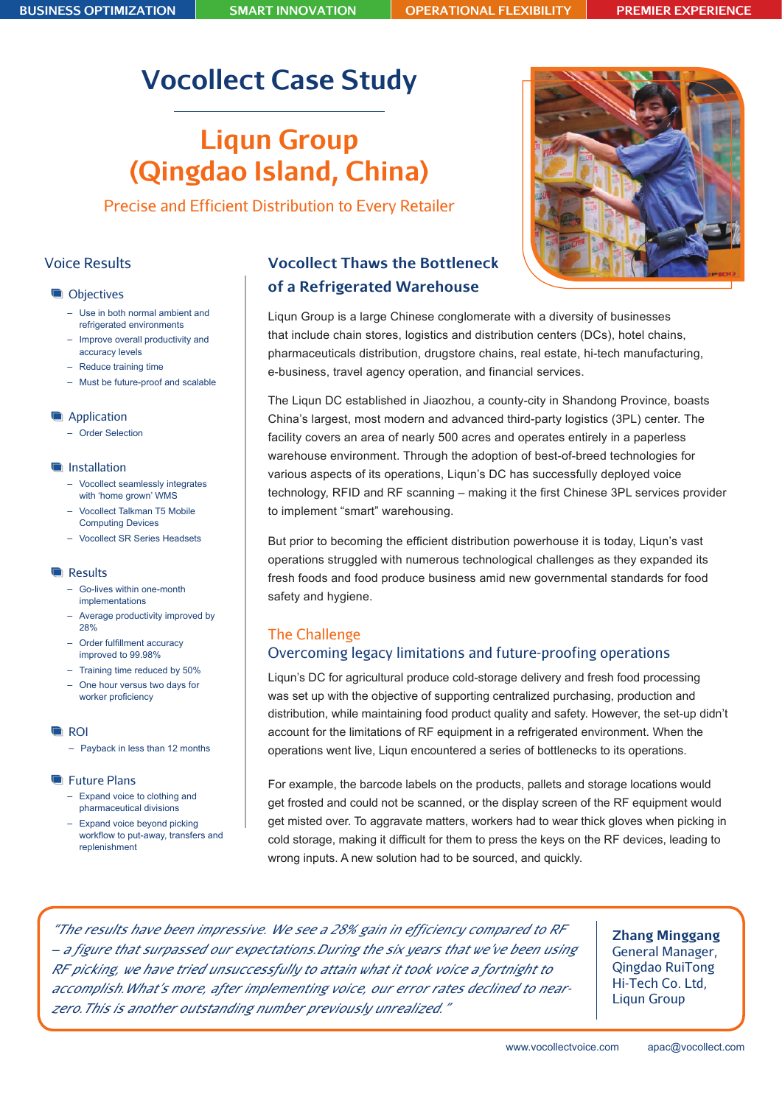# **Vocollect Case Study**

# **Liqun Group (Qingdao Island, China)**

Precise and Efficient Distribution to Every Retailer

# Voice Results

## **Objectives**

- Use in both normal ambient and refrigerated environments
- Improve overall productivity and accuracy levels
- Reduce training time
- Must be future-proof and scalable

## **Application**

– Order Selection

## **Installation**

- Vocollect seamlessly integrates with 'home grown' WMS
- Vocollect Talkman T5 Mobile Computing Devices
- Vocollect SR Series Headsets

#### **Results**

- Go-lives within one-month implementations
- Average productivity improved by 28%
- – Order fulfillment accuracy improved to 99.98%
- Training time reduced by 50%
- One hour versus two days for worker proficiency

#### **G**ROI

– Payback in less than 12 months

#### **Future Plans**

- Expand voice to clothing and pharmaceutical divisions
- Expand voice beyond picking workflow to put-away, transfers and replenishment

# **Vocollect Thaws the Bottleneck of a Refrigerated Warehouse**

Liqun Group is a large Chinese conglomerate with a diversity of businesses that include chain stores, logistics and distribution centers (DCs), hotel chains, pharmaceuticals distribution, drugstore chains, real estate, hi-tech manufacturing, e-business, travel agency operation, and financial services.

The Liqun DC established in Jiaozhou, a county-city in Shandong Province, boasts China's largest, most modern and advanced third-party logistics (3PL) center. The facility covers an area of nearly 500 acres and operates entirely in a paperless warehouse environment. Through the adoption of best-of-breed technologies for various aspects of its operations, Liqun's DC has successfully deployed voice technology, RFID and RF scanning – making it the first Chinese 3PL services provider to implement "smart" warehousing.

But prior to becoming the efficient distribution powerhouse it is today, Liqun's vast operations struggled with numerous technological challenges as they expanded its fresh foods and food produce business amid new governmental standards for food safety and hygiene.

# The Challenge Overcoming legacy limitations and future-proofing operations

Liqun's DC for agricultural produce cold-storage delivery and fresh food processing was set up with the objective of supporting centralized purchasing, production and distribution, while maintaining food product quality and safety. However, the set-up didn't account for the limitations of RF equipment in a refrigerated environment. When the operations went live, Liqun encountered a series of bottlenecks to its operations.

For example, the barcode labels on the products, pallets and storage locations would get frosted and could not be scanned, or the display screen of the RF equipment would get misted over. To aggravate matters, workers had to wear thick gloves when picking in cold storage, making it difficult for them to press the keys on the RF devices, leading to wrong inputs. A new solution had to be sourced, and quickly.

*"The results have been impressive. We see a 28% gain in efficiency compared to RF – a figure that surpassed our expectations.During the six years that we've been using RF picking, we have tried unsuccessfully to attain what it took voice a fortnight to accomplish.What's more, after implementing voice, our error rates declined to nearzero.This is another outstanding number previously unrealized."*

**Zhang Minggang** General Manager, Qingdao RuiTong Hi-Tech Co. Ltd, Liqun Group